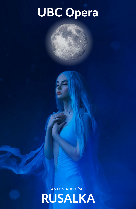# **UBC Opera**

**ANTONÍN DVOŘÁK RUSALKA**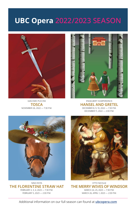### **UBC Opera** 2022/2023 SEASON



GIACOMO PUCCINI **TOSCA** NOVEMBER 26, 2022 — 7:30 P.M.



ENGELBERT HUMPERDINCK **HANSEL AND GRETEL** DECEMBER 8, 9, 10, 2022 — 7:30 P.M. DECEMBER 11, 2022 — 2:00 P.M.



NINO ROTA FEBRUARY 2, 3, 4, 2023 — 7:30 P.M. FEBRUARY 5, 2023 — 2:00 P.M.



**THE FLORENTINE STRAW HAT THE MERRY WIVES OF WINDSOR** OTTO NICOLAI MARCH 24, 25, 2023 — 7:30 P.M. MARCH 26, APRIL 1, 2023 — 2:00 P.M.

Additional information on our full season can found at **[ubcopera.com](http://ubcopera.com)**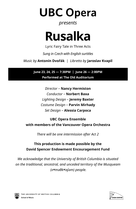**UBC Opera** 

#### *presents*

# **Rusalka**

Lyric Fairy Tale in Three Acts

*Sung in Czech with English surtitles*

*Music by* **Antonín Dvořák** *| Libretto by* **Jaroslav Kvapil**

**June 23, 24, 25 — 7:30PM | June 26 — 2:00PM Performed at The Old Auditorium**

> *Director* – **Nancy Hermiston** *Conductor* – **Norbert Baxa** *Lighting Design* – **Jeremy Baxter** *Costume Design* – **Parvin Mirhady** *Set Design* – **Alessia Carpoca**

#### **UBC Opera Ensemble with members of the Vancouver Opera Orchestra**

*There will be one intermission after Act 2*

#### **This production is made possible by the David Spencer Endowment Encouragement Fund**

*We acknowledge that the University of British Columbia is situated on the traditional, ancestral, and unceded territory of the Musqueam (xʷməθkʷəy̓əm) people.*



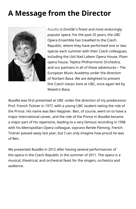### **A Message from the Director**



*Rusalka* is Dvořák's finest and most enduringly popular opera. For the past 25 years, the UBC Opera Ensemble has travelled to the Czech Republic, where they have performed one or two operas each summer with their Czech colleagues, including the Usti Nad Labem Opera House, Plzen opera house, Teplice Philharmonic Orchestra, and our partners in all of these adventures – The European Music Academy under the direction of Norbert Baxa. We are delighted to present this Czech classic here at UBC, once again led by Maestro Baxa.

*Rusalka* was first presented at UBC under the direction of my predecessor Prof. French Tickner in 1977, with a young UBC student taking the role of the Prince. His name was Ben Heppner. Ben, of course, went on to have a major international career, and the role of the Prince in *Rusalka* became a major part of his repertoire, leading to a very famous recording in 1998 with his Metropolitan Opera colleague, soprano Renée Fleming. French Tickner passed away last year, but I can only imagine how proud he was of Ben.

We presented *Rusalka* in 2012 after having several performances of the opera in the Czech Republic in the summer of 2011. The opera is a musical, theatrical, and orchestral feast for the singers, orchestra and audience.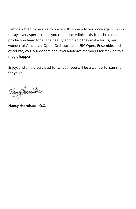I am delighted to be able to present this opera to you once again. I wish to say a very special thank you to our incredible artistic, technical, and production team for all the beauty and magic they make for us, our wonderful Vancouver Opera Orchestra and UBC Opera Ensemble, and of course, you, our donors and loyal audience members for making this magic happen!

Enjoy, and all the very best for what I hope will be a wonderful summer for you all.

Nancy Hermisten

**Nancy Hermiston, O.C.**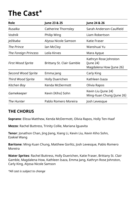## **The Cast\***

| Role                     | June 23 & 25              | June 24 & 26                                                  |
|--------------------------|---------------------------|---------------------------------------------------------------|
| Rusalka                  | Catherine Thornsley       | Sarah Anderson-Caulfield                                      |
| Vodník                   | Philip Wing               | Liam Robertson                                                |
| Ježibaba                 | Alyssa Nicole Samson      | Katie Fraser                                                  |
| The Prince               | Ian McCloy                | Wanshuai Yu                                                   |
| The Foreign Princess     | Leila Kirves              | Mara Ayque                                                    |
| First Wood Sprite        | Brittany St. Clair Gamble | Kathryn Rose Johnston<br>(June 24)<br>Magdalena How (June 26) |
| Second Wood Sprite       | Emma Jang                 | Carly King                                                    |
| <b>Third Wood Sprite</b> | Holly Duerichen           | Kathleen Isaza                                                |
| Kitchen Boy              | Kenda McDermott           | Olivia Rapos                                                  |
| Gamekeeper               | Kevin (Kiho) Sohn         | Kevin Liu (June 24)<br>Ming-Xuan Chung (June 26)              |
| The Hunter               | Pablo Romero Moreira      | Josh Levesque                                                 |

#### **THE CHORUS**

**Soprano**: Elissa Matthew, Kenda McDermott, Olivia Rapos, Holly Ten-Haaf

**Mezzo**: Rachel Buttress, Trinity Collie, Mariana Iguavita

**Tenor**: Jonathon Chan, Jing Jiang, Xiang Li, Kevin Liu, Kevin Kiho Sohn, Ezekiel Wang

**Baritone**: Ming-Xuan Chung, Matthew Gorlitz, Josh Levesque, Pablo Romero Moreira

**Water Sprites**: Rachel Buttress, Holly Duerichen, Katie Fraser, Brittany St. Clair Gamble, Magdalena How, Kathleen Isaza, Emma Jang, Kathryn Rose Johnston, Carly King, Alyssa Nicole Samson

*\*All cast is subject to change*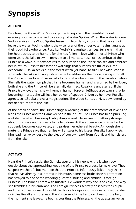### **Synopsis**

#### **ACT ONE**

By a lake, the three Wood Sprites gather to rejoice in the beautiful moonlit evening, soon accompanied by a group of Water Sprites. When the Water Gnome Vodník arrives, the Wood Sprites tease him from land, knowing that he cannot leave the water. Vodník, who is the wise ruler of the underwater realm, laughs at their youthful exuberance. Rusalka, Vodník's daughter, arrives, telling him that her heart aches to be human, for she has fallen in love with a mortal Prince who often visits the lake to swim. Invisible to all mortals, Rusalka has embraced the Prince as a wave, but now desires to be human so the Prince can see and embrace her in return. Despite her father's warnings that humans are full of evil, the desperate Rusalka seeks out the forest witch, Ježibaba, to fulfill her wish. Vodník sinks into the lake with anguish, as Rusalka addresses the moon, asking it to tell the Prince of her love. Rusalka calls for Ježibaba who agrees to the transformation. She tells the water nymph that if she becomes human and is scorned by her lover, both she and the Prince will be eternally damned. Rusalka is undeterred; if the Prince truly loves her, she will remain human forever. Ježibaba also warns that by becoming mortal, she will lose her power of speech. Driven by her love, Rusalka agrees, so Ježibaba brews a magic potion. The Wood Sprites arrive, bewildered by her departure from the lake.

At the break of dawn, the Hunter sings a warning of the entrapments of love as he leads the Prince and the Gamekeeper in their hunt. The Prince has been pursuing a white doe which has inexplicably disappeared. He senses something strange about this place and requests to be left alone. At the appearance of Rusalka, he suddenly becomes captivated, and praises her ethereal beauty. Although she is mute, the Prince says that her lips will answer to his kisses. Rusalka happily lets him lead her away, despite the pleas of sorrow heard from Vodník and her sisters from the lake.

#### **ACT TWO**

Near the Prince's castle, the Gamekeeper and his nephew, the kitchen boy, gossip about the approaching wedding of the Prince to a peculiar new love. They suspect witchcraft, but mention that the Prince is infamously fickle. They think that he has already lost interest in his mute, nameless bride since his attention has strayed to one of the wedding guests: a striking and ambitious foreign Princess. The Prince enters with Rusalka. He wonders why she is so cold, and why she trembles in his embrace. The Foreign Princess secretly observes the couple and then comes forward to scold the Prince for ignoring his guests. Envious, she ridicules Rusalka's muteness. The Prince send Rusalka to go dress for the ball; the moment she leaves, he begins courting the Princess. All the guests arrive, as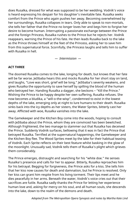does Rusalka, dressed for what was supposed to be her wedding. Vodník's voice is heard expressing his despair for his daughter's inevitable fate. Rusalka seeks comfort from the Prince who again pushes her away. Becoming overwhelmed by her surroundings, Rusalka collapses in tears. Only able to speak to non-mortals, she tells her father that the Prince no longer loves her and begs him to forgive her desire to become human. Interrupting a passionate exchange between the Prince and the foreign Princess, Rusalka rushes to the Prince but he rejects her. Vodník reappears, warning the Prince of his fate. He then leads Rusalka back to the lake as the Prince throws himself at the feet of the Princess, asking her to save him from this supernatural force. Scornfully, the Princess laughs and tells him to suffer with Rusalka in hell.

*— Intermission —*

#### **ACT THREE**

The doomed Rusalka comes to the lake, longing for death, but knows that her fate will be far worse. Ježibaba hears this and mocks Rusalka for her short stay on land, and laughs, "Love was short, grief will be long." Ježibaba's severity weakens, and gives Rusalka the opportunity to save herself by spilling the blood of the human who betrayed her. Handing Rusalka a dagger, she beckons – "Kill the Prince." Wishing the Prince to be happy despite her own suffering, Rusalka refuses. She now becomes a bludika, a "will-o-the-wisp", condemned to exist in the lowest depths of the lake, emerging only at night to lure humans to their death. Rusalka sinks back into the icy depths as her sisters, the Water Sprites, bitterly cast her away. Afflicted with woe, Rusalka vanishes into the lake.

The Gamekeeper and the Kitchen Boy come into the woods, hoping to consult with Ježibaba about the Prince, whom they are convinced has been bewitched. Although frightened, the two manage to stammer out that Rusalka has deceived the Prince. Suddenly Vodník surfaces, bellowing that it was in fact the Prince that betrayed Rusalka. Terrified at the supernatural happenings, the Gamekeeper and the Kitchen Boy flee. The Wood Sprites meet by the lake for their habitual teasing of Vodník. Each Sprite reflects on their best feature whilst basking in the glow of the moonlight. Unusually sad, Vodník tells them of Rusalka's plight which grieves them considerably.

The Prince emerges, distraught and searching for his "white doe." He senses Rusalka's presence and calls for her to appear. Bitterly, Rusalka reproaches him for his betrayal. Begging for forgiveness, the Prince asks for a kiss. She tells him that her kiss now causes for death and damnation, but he Prince is resolved. Only her kiss can grant him respite from his living torment. Their lips meet and he dies peacefully in her arms. Beneath the water, Vodník's voice cries out that their sacrifices are futile. Rusalka sadly thanks the Prince for letting her experience human love and, asking for mercy on his soul, and all human souls, she descends into the lake, down to the realm of the demons and death.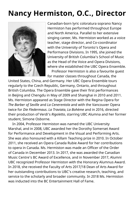### **Nancy Hermiston, O.C., Director**



Canadian-born lyric coloratura soprano Nancy Hermiston has performed throughout Europe and North America. Parallel to her extensive singing career, Ms. Hermiston worked as a voice teacher, stage director, and Co-coordinator with the University of Toronto's Opera and Performance Divisions. In 1995, she joined the University of British Columbia's School of Music as the Head of the Voice and Opera Divisions, where she established the UBC Opera Ensemble. Professor Hermiston is also a favourite guest

for master classes throughout Canada, the

United States, China, and Germany. Her UBC Opera Ensemble tours regularly to the Czech Republic, Germany, Ontario, and throughout British Columbia. The Opera Ensemble gave their first performances in Beijing and Chengdu in May of 2009 and Shanghai in 2010 and 2011. Ms. Hermiston appeared as Stage Director with the Regina Opera for *The Barber of Seville* and *La Cenerentola* and with the Vancouver Opera twice for *Die Fledermaus*. *La Traviata*, *La Bohème* and in 2016, directed their production of Verdi's *Rigoletto*, starring UBC Alumna and her former student, Simone Osborne.

In 2004, Professor Hermiston was named the UBC University Marshal, and in 2008, UBC awarded her the Dorothy Somerset Award for Performance and Development in the Visual and Performing Arts. She was also honoured with a Killam Teaching prize in 2010. In October 2011, she received an Opera Canada Rubie Award for her contributions to opera in Canada. Ms. Hermiston was made an Officer of the Order of Canada in December 2013. In 2017, she was awarded the Canadian Music Centre's BC Award of Excellence, and in November 2017, Alumni UBC recognized Professor Hermiston with the Honorary Alumnus Award. In 2018, she received the Faculty of Arts 2017/18 Dean of Arts Award for her outstanding contributions to UBC's creative research, teaching, and service to the scholarly and broader community. In 2018 Ms. Hermiston was inducted into the BC Entertainment Hall of Fame.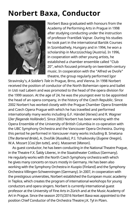### **Norbert Baxa, Conductor**



Norbert Baxa graduated with honours from the Academy of Performing Arts in Prague in 1998 after studying conducting under the instruction of professor František Vajnar. During his studies he took part in the international Bartók Courses in Szombathely, Hungary and in 1994, he won a scholarship in Murzzüschlag (Austria). In 1996, in cooperation with other young artists, he established a chamber ensemble called "Club 20", which focused primarily on twentieth-century music. In cooperation with the "Alfred ve Dvoře" theatre, the group regularly performed Igor

Stravinsky's, *A Soldier's Tale* in Prague, Brno, and Vienna. In 1998 Norbert received the position of conductor of the North Bohemian opera and ballet in Usti nad Labem and was promoted to the head of the opera division for the 1999 season. At the age of 24, he was the youngest ever to be appointed the head of an opera company, in the history of the Czech Republic. Since 2002 Norbert has worked closely with the Prague Chamber Opera Ensemble and Czech Opera Prague with which he has travelled and performed internationally many works including G.F. Händel (*Xerxes*) and R. Wagner (*Der fliegende Holländer*). Since 2003 Norbert has been working with the Opera Ensemble of the University of British Columbia in co-operation with the UBC Symphony Orchestra and the Vancouver Opera Orchestra. During this period he performed in Vancouver many works including B. Smetana (*The Bartered Bride*), A. Dvořák (*Rusalka*), P.I. Tchaikovsky (*Eugene Onegin*), W.A. Mozart (*Così fan tutte*), and J. Massenet (*Manon*).

As guest conductor, he has been conducting in the National Theatre Prague, in the Theatre F.X. Šaldy Liberec, in the Staatstheater Cottbus (Germany). He regularly works with the North Czech Symphony orchestra with which he gives many concerts on tours mostly in Germany. He has been also working with the Symphony Orchestra in Kuopio (Finland) and the Symphony Orchestra Villingen-Schwenningen (Germany). In 2007, in cooperation with the prestigious universities, Norbert established the European music academy in Teplice, which creates the program of international workshops for young conductors and opera singers. Norbert is currently international guest professor at the University of Fine Arts in Zürich and at the Music Academy of Art in Prague. Since the season 2015/2016 Norbert Baxa was appointed to the position Chief Conductor of the Orchestra Theatre J.K. Tyl in Plzen.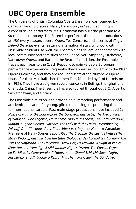## **UBC Opera Ensemble**

The University of British Columbia Opera Ensemble was founded by Canadian lyric coloratura, Nancy Hermiston, in 1995. Beginning with a core of seven performers, Ms. Hermiston has built the program to a 90-member company. The Ensemble performs three main productions at UBC every season, several Opera Tea Concerts, and a series of *Singer Behind the Song* events featuring international stars who work with Ensemble students. As well, the Ensemble has several engagements with local community partners such as the Vancouver Symphony Orchestra, Vancouver Opera, and Bard on the Beach. In addition, the Ensemble travels each year to the Czech Republic to gain valuable European performance experience. Frequently they appear in concert with the Plzen Opera Orchestra, and they are regular guests at the Nürnberg Opera House for their Musikalischen Damen Teas (founded by Prof Hermiston in 1985). They have also given several concerts in Beijing, Shanghai, and Chengdu, China. The Ensemble has also toured throughout B.C., Alberta, Saskatchewan, and Ontario.

The Ensemble's mission is to provide an outstanding performance and academic education for young, gifted opera singers, preparing them for international careers. Past main-stage productions have included *Le Nozze di Figaro, Die Zauberflöte, Die Gärtnerin aus Liebe, The Merry Wives of Windsor, Suor Angelica, La Bohème, Dido and Aeneas, The Bartered Bride, Manon, Eugene Onegin, Florence: the Lady with the Lamp, Dreamhealer, Falstaff, Don Giovanni, Cendrillon, Albert Herring*, the Western Canadian Premiere of Harry Somer's *Louis Riel, The Crucible, Die Lustige Witwe (The Merry Widow), Rusalka, Così fan tutte, Dialogues des Carmélites, Carmen, The Tales of Hoffmann, The Florentine Straw Hat, La Traviata, A Night in Venice (Eine Nacht in Venedig), A Midsummer Night's Dream, The Consul, Orfeo ed Euridice, La Cenerentola, Il Tabarro* and *Gianni Schicchi*, *Silent Night*, *Pasażerka*, and *Il Viaggio a Reims*, *Mansfield Park,* and *The Gondoliers.*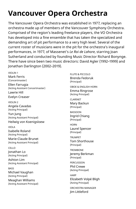### **Vancouver Opera Orchestra**

The Vancouver Opera Orchestra was established in 1977, replacing an orchestra made up of members of the Vancouver Symphony Orchestra. Comprised of the region's leading freelance players, the VO Orchestra has developed into a fine ensemble that has taken the specialized and demanding art of pit performance to a very high level. Several of the current roster of musicians were in the pit for the orchestra's inaugural performances, in 1977, of Massenet's *Le Roi de Lahore*, starring Joan Sutherland and conducted by founding Music Director Richard Bonynge. There have since been two music directors: David Agler (1992–1999) and Jonathan Darlington (2002–2019).

VIOLIN 1 Mark Ferris (Concertmaster) Ellen Farrugia (Acting Assistant Concertmaster) Lawrie Hill Evelyn Creaser VIOLIN 2 Angela Cavadas (Acting Principal) Yun Jung (Acting Assistant Principal) Heilwig von Koenigsloew VIOLA Isabelle Roland (Acting Principal) Marie-Claude Brunet (Acting Assistant Principal) CELLO Jonathan Lo (Acting Principal) Ashton Lim (Acting Assistant Principal) **BASS** Michael Vaughan (Acting Principal) Meaghan Williams (Acting Assistant Principal)

FLUTE & PICCOLO Brenda Fedoruk (Principal)

OBOE & ENGLISH HORN Emma Ringrose (Acting Principal)

CLARINET Mary Backun (Principal)

**BASSOON** Ingrid Chiang (Principal)

**HORN** 

Laurel Spencer (Principal)

TRUMPET Tom Shorthouse (Principal)

**TROMBONE** Jeremy Berkman (Principal)

PERCUSSION Phil Crewe (Acting Principal)

**HARP** Elizabeth Volpé Bligh (Acting Principal)

ORCHESTRA MANAGER Jim Littleford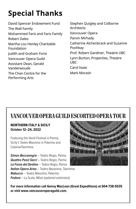## **Special Thanks**

David Spencer Endowment Fund The Wall Family Mohammed Faris and Faris Family Robert Dales Martha Lou Henley Charitable Foundation Judith and Graham Forst Vancouver Opera Guild Assistant Dean, Gerald Vanderwoude The Chan Centre for the Performing Arts

Stephen Quigley and Colborne **Architects** Vancouver Opera Parvin Mirhady Catherine Alchenbrack and Suzanne Poohkay Prof. Robert Gardiner, Theatre UBC Lynn Burton, Properties, Theatre UBC Carol Isaac Mark Morash

### **VANCOUVER OPERA GUILD ESCORTED OPERA TOUR**

#### **NORTHERN ITALY & SICILY October 12–24, 2022**

Featuring the Verdi Festival in Parma, Sicily's Teatro Massimo in Palermo and Catania/Taormina.

**Simon Boccanegra** – Teatro Regio, Parma **Quattro Pezzi Sacri** - Teatro Regio, Parma **La Forza del Destino** – Teatro Regio, Parma **Italian Opera Arias** – Teatro Nazarena, Taormina **Nabucco** – Teatro Massimo, Palermo **Fedora** – La Scala, Milan (optional extension)



**For more information call Genny MacLean (Great Expeditions) at 604-738-5535 or visit www.vancouveroperaguild.com.**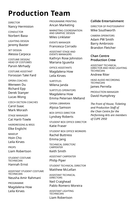### **Production Team**

DIRECTOR Nancy Hermiston CONDUCTOR

Norbert Baxa

LIGHTING DESIGN Jeremy Baxter

SET DESIGN Alessia Carpoca

COSTUME DESIGN/ HEAD OF COSTUMES Parvin Mirhady

COSTUME ASSISTANT Foroozan Talei Fard

OPERA COACHES Wenwen Du Richard Epp Derek Stanyer Lucas Wong

CZECH DICTION COACHES Carol Isaac Mark Morash

STAGE MANAGER Cat Hartt-Towle

HAIRDRESSING & WIGS Elke Englicht

MAKEUP Hoin Cho Leila Kirves

PROPS Liam Robertson

STUDENT COSTUME TECHNICIAN Hannah Ernst

ASSISTANT STUDENT COSTUME TECHNICIAN Neusha Amir Rahmani

PROGRAMME Magdalena How Leila Kirves

PROGRAMME PRINTING Ancan Marketing

MARKETING COORDINATION AND GRAPHIC DESIGN Miles Linklater

EVENTS MANAGER Francesca Corrado

ASSISTANT STAGE AND EVENTS MANAGERS Kathryn Rose Johnston Mariana Iguavita

OFFICE ASSISTANTS Magdalena How Leila Kirves

SURTITLES Milena Janda

SURTITLES OPERATORS Magdalena How Emma Petersen Melland

OPERA LIBRARIAN Alyssa Samson

BOX OFFICE DIRECTOR Lyndsey Roberts

STUDENT BOX OFFICE DIRECTOR Katie Fraser

STUDENT BOX OFFICE WORKERS Rachel Buttress Emma Jang

TECHNICAL DIRECTOR/ CARPENTER Keith Smith

ASSISTANT CARPENTER Philip Piper

STUDENT TECHNICAL DIRECTOR Matthew McLellan

ASSISTANT TECHNICAL DIRECTORS

Neil Craighead Pablo Romero Moreira

ASSISTANT LIGHTING **TECHNICIAN** Liam Robertson

#### **Collide Entertainment**

DIRECTOR OF PHOTOGRAPHY Mike Southworth

CAMERA OPERATORS Adam PW Smith Barry Ambrosio Brandon Fletcher

#### **Chan Centre Production Crew**

ASSISTANT TECHNICAL DIRECTOR AND HEAD LIGHTING **TECHNICIAN** 

Andrew Riter

HEAD AUDIO RECORDING TECHNICIAN

James Perrella

PRODUCTION MANAGER David Humphrey

*The Front of House, Ticketing and Production Staff of the Chan Centre for the Performing Arts are members of CUPE 2950*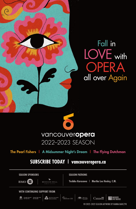

# Fall in LOVE with OPERA all over Again

### vancouveropera 2022-2023 SFASON

#### The Pearl Fishers | A Midsummer Night's Dream | The Flying Dutchman

### **SUBSCRIBE TODAY | vancouveropera.ca**